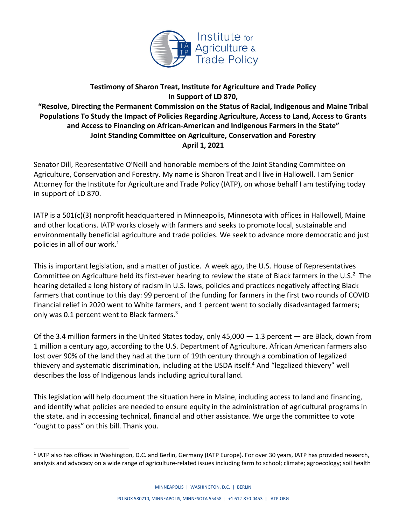

## **Testimony of Sharon Treat, Institute for Agriculture and Trade Policy In Support of LD 870,**

**"Resolve, Directing the Permanent Commission on the Status of Racial, Indigenous and Maine Tribal Populations To Study the Impact of Policies Regarding Agriculture, Access to Land, Access to Grants and Access to Financing on African-American and Indigenous Farmers in the State" Joint Standing Committee on Agriculture, Conservation and Forestry April 1, 2021**

Senator Dill, Representative O'Neill and honorable members of the Joint Standing Committee on Agriculture, Conservation and Forestry. My name is Sharon Treat and I live in Hallowell. I am Senior Attorney for the Institute for Agriculture and Trade Policy (IATP), on whose behalf I am testifying today in support of LD 870.

IATP is a 501(c)(3) nonprofit headquartered in Minneapolis, Minnesota with offices in Hallowell, Maine and other locations. IATP works closely with farmers and seeks to promote local, sustainable and environmentally beneficial agriculture and trade policies. We seek to advance more democratic and just policies in all of our work. $<sup>1</sup>$ </sup>

This is important legislation, and a matter of justice. A week ago, the U.S. House of Representatives Committee on Agriculture held its first-ever hearing to review the state of Black farmers in the U.S. $2$  The hearing detailed a long history of racism in U.S. laws, policies and practices negatively affecting Black farmers that continue to this day: 99 percent of the funding for farmers in the first two rounds of COVID financial relief in 2020 went to White farmers, and 1 percent went to socially disadvantaged farmers; only was 0.1 percent went to Black farmers.<sup>3</sup>

Of the 3.4 million farmers in the United States today, only 45,000 — 1.3 percent — are Black, down from 1 million a century ago, according to the U.S. Department of Agriculture. African American farmers also lost over 90% of the land they had at the turn of 19th century through a combination of legalized thievery and systematic discrimination, including at the USDA itself. <sup>4</sup> And "legalized thievery" well describes the loss of Indigenous lands including agricultural land.

This legislation will help document the situation here in Maine, including access to land and financing, and identify what policies are needed to ensure equity in the administration of agricultural programs in the state, and in accessing technical, financial and other assistance. We urge the committee to vote "ought to pass" on this bill. Thank you.

<sup>1</sup> IATP also has offices in Washington, D.C. and Berlin, Germany (IATP Europe). For over 30 years, IATP has provided research, analysis and advocacy on a wide range of agriculture-related issues including farm to school; climate; agroecology; soil health